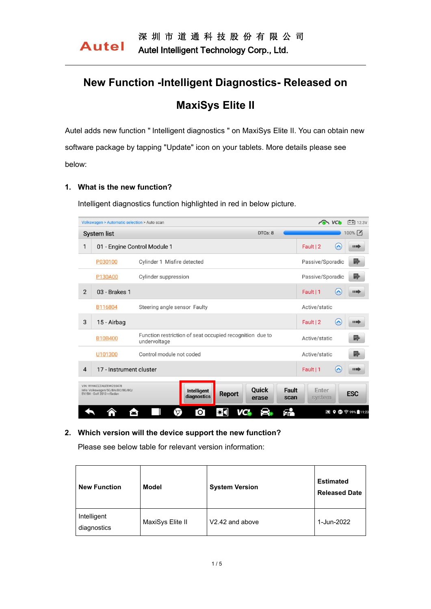# **New Function -Intelligent Diagnostics- Released on MaxiSys Elite II**

Autel adds new function " Intelligent diagnostics " on MaxiSys Elite II. You can obtain new software package by tapping "Update" icon on your tablets. More details please see below:

### **1. What is the new function?**

Intelligent diagnostics function highlighted in red in below picture.

|                | Volkswagen > Automatic selection > Auto scan                                            | $\sim$ VCb                                                                     | $\boxed{-1}$ 12.3V              |                           |
|----------------|-----------------------------------------------------------------------------------------|--------------------------------------------------------------------------------|---------------------------------|---------------------------|
|                | <b>System list</b>                                                                      |                                                                                | $100\%$                         |                           |
| 1              | 01 - Engine Control Module 1                                                            |                                                                                | $\curvearrowright$<br>Fault   2 | $\blacksquare$            |
|                | P030100                                                                                 | Cylinder 1 Misfire detected                                                    | Passive/Sporadic                | r,                        |
|                | P130A00                                                                                 | Cylinder suppression                                                           | Passive/Sporadic                | r,                        |
| $\overline{2}$ | 03 - Brakes 1                                                                           |                                                                                | $\curvearrowright$<br>Fault   1 | $\blacksquare$            |
|                | B116804                                                                                 | Steering angle sensor Faulty                                                   | Active/static                   |                           |
| 3              | 15 - Airbag                                                                             |                                                                                | $\curvearrowright$<br>Fault   2 | $\blacksquare$            |
|                | B10B400                                                                                 | Function restriction of seat occupied recognition due to<br>undervoltage       | Fr<br>Active/static             |                           |
|                | U101300                                                                                 | Control module not coded                                                       | Active/static                   | P,                        |
| $\overline{4}$ | 17 - Instrument cluster                                                                 |                                                                                | $\sim$<br>Fault   1             | $\blacksquare$            |
|                | VIN: WVWZZZAUZEW255478<br>Info: Volkswagen/5G/BA/BC/BE/BQ/<br>BV/BX - Golf 2013 >/Sedan | Quick<br>Fault<br>Intelligent<br><b>Report</b><br>diagnostics<br>scan<br>erase | Enter<br>system                 | <b>ESC</b>                |
|                | ×                                                                                       | fр<br>$\circledcirc$<br>$\bullet$ .<br>ГO I<br>VC at                           | И                               | $9$ 6 $\approx$ 99% 11:23 |

#### **2. Which version will the device support the new function?**

Please see below table for relevant version information:

| <b>New Function</b>        | <b>Model</b>     | <b>System Version</b> | <b>Estimated</b><br><b>Released Date</b> |
|----------------------------|------------------|-----------------------|------------------------------------------|
| Intelligent<br>diagnostics | MaxiSys Elite II | V2.42 and above       | 1-Jun-2022                               |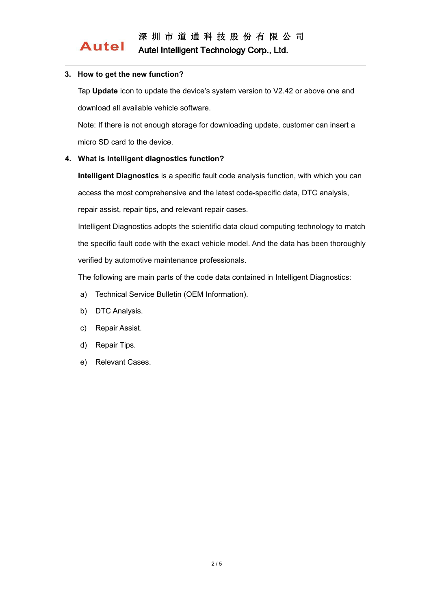#### **3. How to get the new function?**

**Autel** 

Tap **Update** icon to update the device's system version to V2.42 or above one and download all available vehicle software.

Note: If there is not enough storage for downloading update, customer can insert a micro SD card to the device.

### **4. What is Intelligent diagnostics function?**

**Intelligent Diagnostics** is a specific fault code analysis function, with which you can access the most comprehensive and the latest code-specific data, DTC analysis,

repair assist, repair tips, and relevant repair cases.

Intelligent Diagnostics adopts the scientific data cloud computing technology to match the specific fault code with the exact vehicle model. And the data has been thoroughly verified by automotive maintenance professionals.

The following are main parts of the code data contained in Intelligent Diagnostics:

- a) Technical Service Bulletin (OEM Information).
- b) DTC Analysis.
- c) Repair Assist.
- d) Repair Tips.
- e) Relevant Cases.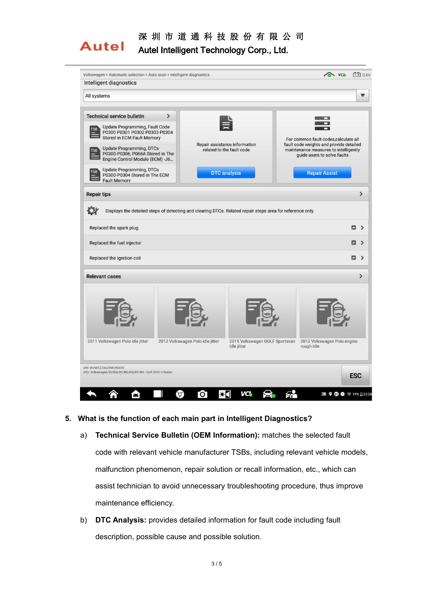

## 深 圳 市 道 通 科 技 股 份 有 限 公 司

Autel Intelligent Technology Corp., Ltd.

| Intelligent diagnostics                                                                                                                          |                                                                                   |                                                                                                                           |  |
|--------------------------------------------------------------------------------------------------------------------------------------------------|-----------------------------------------------------------------------------------|---------------------------------------------------------------------------------------------------------------------------|--|
| All systems                                                                                                                                      |                                                                                   |                                                                                                                           |  |
| <b>Technical service bulletin</b><br>ゝ<br>Update Programming, Fault Code<br><b>TSB</b>                                                           |                                                                                   |                                                                                                                           |  |
| P0300 P0301 P0302 P0303 P0304<br>Stored in ECM Fault Memory<br><b>Update Programming, DTCs</b><br><b>TSB</b><br>P0300-P0306, P068A Stored in The | Repair assistance information<br>related to the fault code                        | For common fault codes, calculate all<br>fault code weights and provide detailed<br>maintenance measures to intelligently |  |
| Engine Control Module (ECM) -J6<br><b>Update Programming, DTCs</b>                                                                               |                                                                                   | guide users to solve faults                                                                                               |  |
| <b>TSB</b><br>P0300-P0304 Stored in The ECM<br><b>Fault Memory</b>                                                                               | <b>DTC</b> analysis                                                               | <b>Repair Assist</b>                                                                                                      |  |
| <b>Repair tips</b>                                                                                                                               |                                                                                   | $\mathbf{\mathbf{z}}$                                                                                                     |  |
| Replaced the spark plug<br>Replaced the fuel injector<br>Replaced the Ignition coil                                                              |                                                                                   | 四 ><br>四 ゝ<br>四 ゝ                                                                                                         |  |
|                                                                                                                                                  |                                                                                   |                                                                                                                           |  |
| <b>Relevant cases</b>                                                                                                                            |                                                                                   |                                                                                                                           |  |
|                                                                                                                                                  |                                                                                   |                                                                                                                           |  |
| 2011 Volkswagen Polo idle jitter                                                                                                                 | 2012 Volkswagen Polo idle jitter<br>2015 Volkswagen GOLF Sportsvan<br>idle jitter | 2012 Volkswagen Polo engine<br>rough idle                                                                                 |  |
| VIN: WVWZZZAUZEW255478<br>Info: Volkswagen/5G/BA/BC/BE/BQ/BV/BX - Golf 2013 >/Sedan                                                              |                                                                                   | $\rightarrow$<br><b>ESC</b>                                                                                               |  |

- **5. What is the function of each main part in Intelligent Diagnostics?**
	- a) **Technical Service Bulletin (OEM Information):** matches the selected fault code with relevant vehicle manufacturer TSBs, including relevant vehicle models, malfunction phenomenon, repair solution or recall information, etc., which can assist technician to avoid unnecessary troubleshooting procedure, thus improve maintenance efficiency.
	- b) **DTC Analysis:** provides detailed information for fault code including fault description, possible cause and possible solution.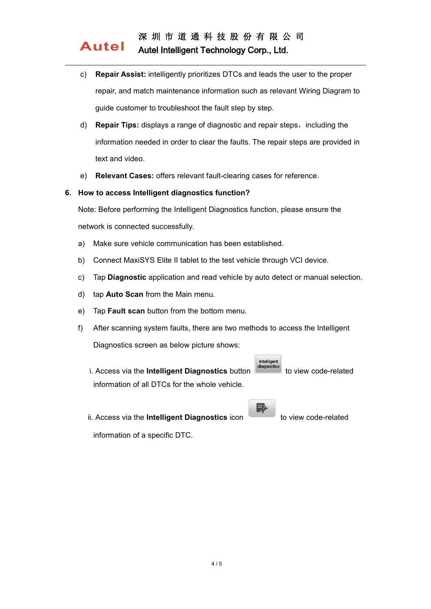### 深 圳 市 道 通 科 技 股 份 有 限 公 司 Autel Intelligent Technology Corp., Ltd.

- c) **Repair Assist:** intelligently prioritizes DTCs and leads the user to the proper repair, and match maintenance information such as relevant Wiring Diagram to guide customer to troubleshoot the fault step by step.
- d) **Repair Tips:** displays a range of diagnostic and repair steps,including the information needed in order to clear the faults. The repair steps are provided in text and video.
- e) **Relevant Cases:** offers relevant fault-clearing cases for reference.

### **6. How to access Intelligent diagnostics function?**

Note: Before performing the Intelligent Diagnostics function, please ensure the

network is connected successfully.

**Autel** 

- a) Make sure vehicle communication has been established.
- b) Connect MaxiSYS Elite II tablet to the test vehicle through VCI device.
- c) Tap **Diagnostic** application and read vehicle by auto detect ormanual selection.
- d) tap **Auto Scan** from the Main menu.
- e) Tap **Fault scan** button from the bottom menu.
- f) After scanning system faults, there are two methods to access the Intelligent Diagnostics screen as below picture shows:
	- i. Access via the **Intelligent Diagnostics** button **diagnostics** to view code-related information of all DTCs for the whole vehicle.
	- ii. Access via the **Intelligent Diagnostics** icon to view code-related

p,

Intelligen

information of a specific DTC.